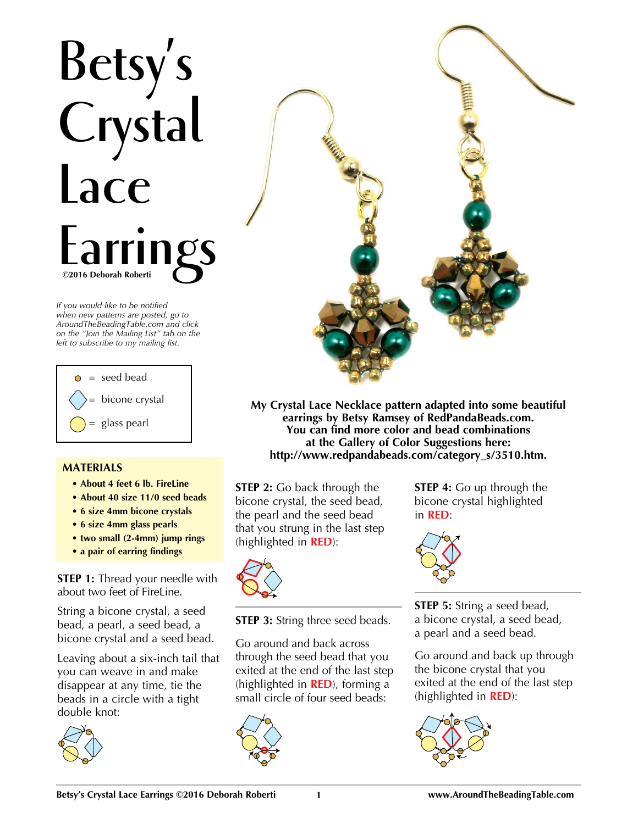## **Betsy's Crystal Lace**  Earrings

*If you would like to be notified when new patterns are posted, go to AroundTheBeadingTable.com and click on the "Join the Mailing List" tab on the left to subscribe to my mailing list.*



## **MATERIALS**

- **About 4 feet 6 lb. FireLine**
- **About 40 size 11/0 seed beads**
- **6 size 4mm bicone crystals**
- **6 size 4mm glass pearls**
- **two small (2-4mm) jump rings**
- **a pair of earring findings**

**STEP 1:** Thread your needle with about two feet of FireLine.

String a bicone crystal, a seed bead, a pearl, a seed bead, a bicone crystal and a seed bead.

Leaving about a six-inch tail that you can weave in and make disappear at any time, tie the beads in a circle with a tight double knot:





**My Crystal Lace Necklace pattern adapted into some beautiful earrings by Betsy Ramsey of RedPandaBeads.com. You can find more color and bead combinations at the Gallery of Color Suggestions here: http://www.redpandabeads.com/category\_s/3510.htm.**

**STEP 2:** Go back through the bicone crystal, the seed bead, the pearl and the seed bead that you strung in the last step (highlighted in **RED**):



**STEP 3:** String three seed beads.

Go around and back across through the seed bead that you exited at the end of the last step (highlighted in **RED**), forming a small circle of four seed beads:



**STEP 4:** Go up through the bicone crystal highlighted in **RED**:



**STEP 5:** String a seed bead, a bicone crystal, a seed bead, a pearl and a seed bead.

Go around and back up through the bicone crystal that you exited at the end of the last step (highlighted in **RED**):